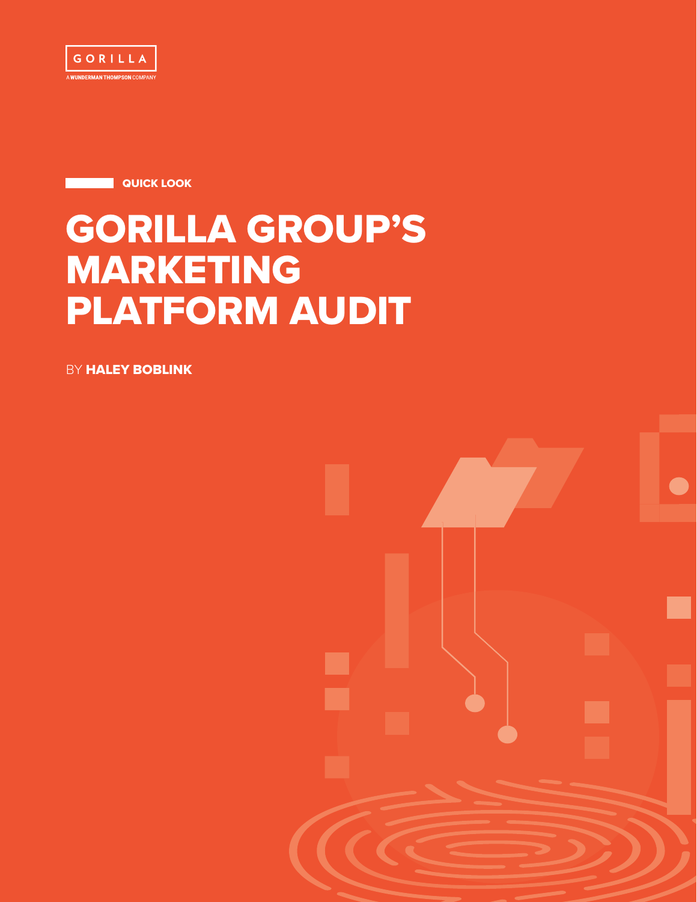

**QUICK LOOK** 

# GORILLA GROUP'S MARKETING PLATFORM AUDIT

**BY HALEY BOBLINK** 

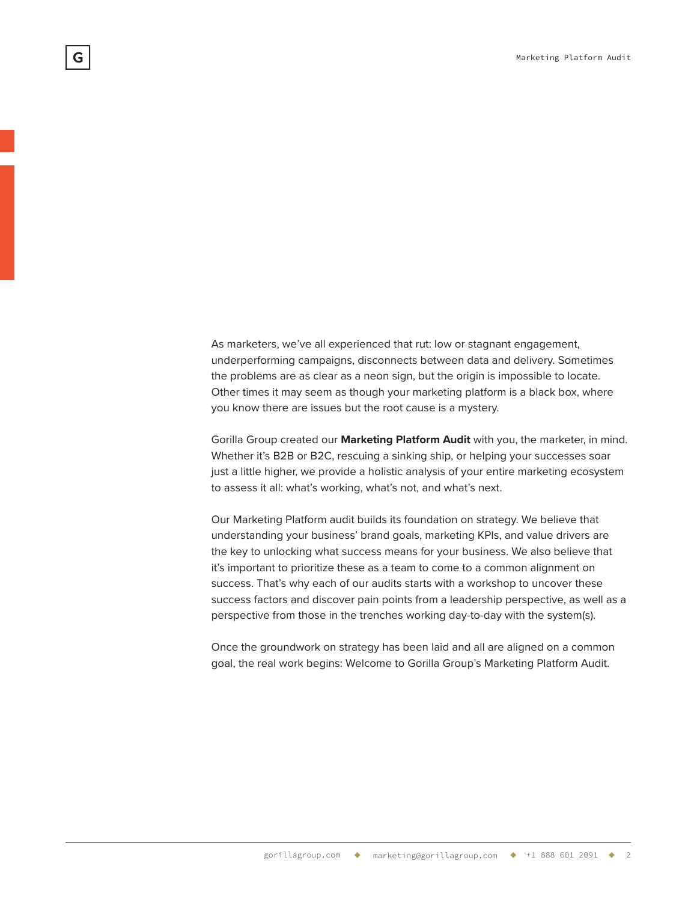As marketers, we've all experienced that rut: low or stagnant engagement, underperforming campaigns, disconnects between data and delivery. Sometimes the problems are as clear as a neon sign, but the origin is impossible to locate. Other times it may seem as though your marketing platform is a black box, where you know there are issues but the root cause is a mystery.

Gorilla Group created our **Marketing Platform Audit** with you, the marketer, in mind. Whether it's B2B or B2C, rescuing a sinking ship, or helping your successes soar just a little higher, we provide a holistic analysis of your entire marketing ecosystem to assess it all: what's working, what's not, and what's next.

Our Marketing Platform audit builds its foundation on strategy. We believe that understanding your business' brand goals, marketing KPIs, and value drivers are the key to unlocking what success means for your business. We also believe that it's important to prioritize these as a team to come to a common alignment on success. That's why each of our audits starts with a workshop to uncover these success factors and discover pain points from a leadership perspective, as well as a perspective from those in the trenches working day-to-day with the system(s).

Once the groundwork on strategy has been laid and all are aligned on a common goal, the real work begins: Welcome to Gorilla Group's Marketing Platform Audit.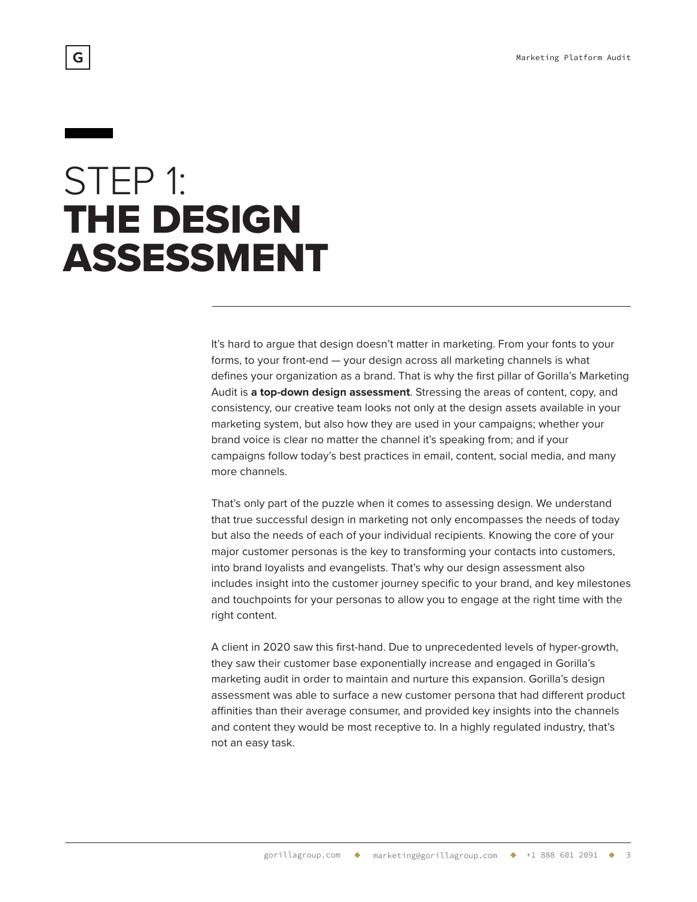## STEP 1: THE DESIGN ASSESSMENT

It's hard to argue that design doesn't matter in marketing. From your fonts to your forms, to your front-end — your design across all marketing channels is what defines your organization as a brand. That is why the first pillar of Gorilla's Marketing Audit is **a top-down design assessment**. Stressing the areas of content, copy, and consistency, our creative team looks not only at the design assets available in your marketing system, but also how they are used in your campaigns; whether your brand voice is clear no matter the channel it's speaking from; and if your campaigns follow today's best practices in email, content, social media, and many more channels.

That's only part of the puzzle when it comes to assessing design. We understand that true successful design in marketing not only encompasses the needs of today but also the needs of each of your individual recipients. Knowing the core of your major customer personas is the key to transforming your contacts into customers, into brand loyalists and evangelists. That's why our design assessment also includes insight into the customer journey specific to your brand, and key milestones and touchpoints for your personas to allow you to engage at the right time with the right content.

A client in 2020 saw this first-hand. Due to unprecedented levels of hyper-growth, they saw their customer base exponentially increase and engaged in Gorilla's marketing audit in order to maintain and nurture this expansion. Gorilla's design assessment was able to surface a new customer persona that had different product affinities than their average consumer, and provided key insights into the channels and content they would be most receptive to. In a highly regulated industry, that's not an easy task.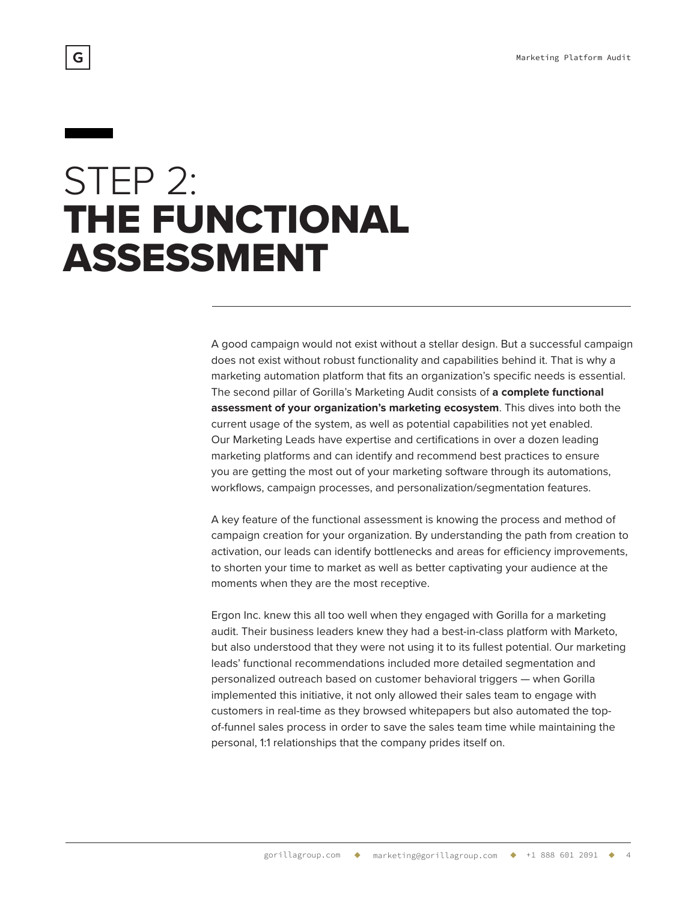## STEP 2: THE FUNCTIONAL ASSESSMENT

A good campaign would not exist without a stellar design. But a successful campaign does not exist without robust functionality and capabilities behind it. That is why a marketing automation platform that fits an organization's specific needs is essential. The second pillar of Gorilla's Marketing Audit consists of **a complete functional assessment of your organization's marketing ecosystem**. This dives into both the current usage of the system, as well as potential capabilities not yet enabled. Our Marketing Leads have expertise and certifications in over a dozen leading marketing platforms and can identify and recommend best practices to ensure you are getting the most out of your marketing software through its automations, workflows, campaign processes, and personalization/segmentation features.

A key feature of the functional assessment is knowing the process and method of campaign creation for your organization. By understanding the path from creation to activation, our leads can identify bottlenecks and areas for efficiency improvements, to shorten your time to market as well as better captivating your audience at the moments when they are the most receptive.

Ergon Inc. knew this all too well when they engaged with Gorilla for a marketing audit. Their business leaders knew they had a best-in-class platform with Marketo, but also understood that they were not using it to its fullest potential. Our marketing leads' functional recommendations included more detailed segmentation and personalized outreach based on customer behavioral triggers — when Gorilla implemented this initiative, it not only allowed their sales team to engage with customers in real-time as they browsed whitepapers but also automated the topof-funnel sales process in order to save the sales team time while maintaining the personal, 1:1 relationships that the company prides itself on.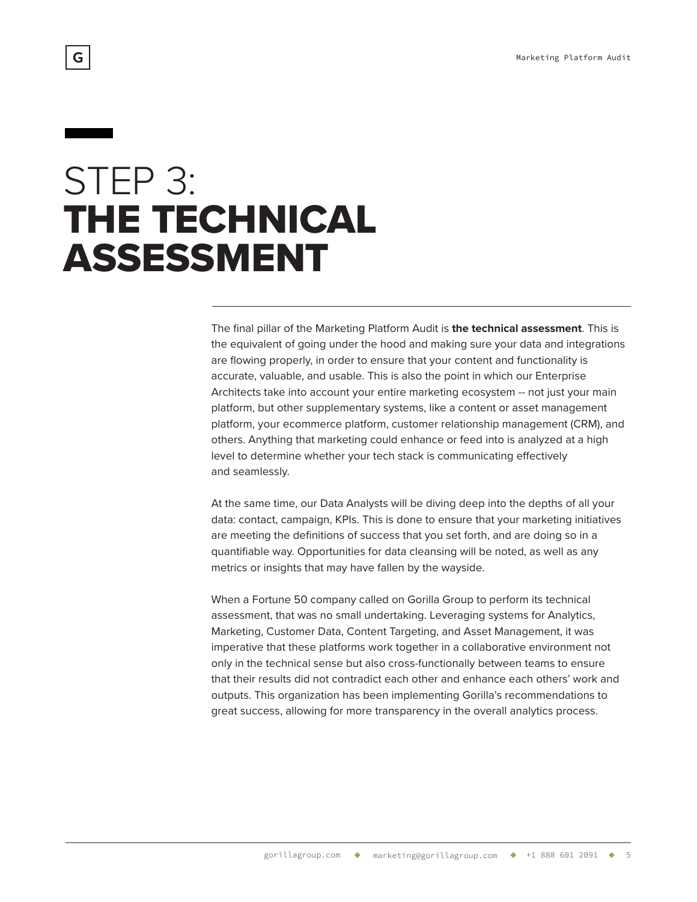# STEP 3: THE TECHNICAL ASSESSMENT

The final pillar of the Marketing Platform Audit is **the technical assessment**. This is the equivalent of going under the hood and making sure your data and integrations are flowing properly, in order to ensure that your content and functionality is accurate, valuable, and usable. This is also the point in which our Enterprise Architects take into account your entire marketing ecosystem -- not just your main platform, but other supplementary systems, like a content or asset management platform, your ecommerce platform, customer relationship management (CRM), and others. Anything that marketing could enhance or feed into is analyzed at a high level to determine whether your tech stack is communicating effectively and seamlessly.

At the same time, our Data Analysts will be diving deep into the depths of all your data: contact, campaign, KPIs. This is done to ensure that your marketing initiatives are meeting the definitions of success that you set forth, and are doing so in a quantifiable way. Opportunities for data cleansing will be noted, as well as any metrics or insights that may have fallen by the wayside.

When a Fortune 50 company called on Gorilla Group to perform its technical assessment, that was no small undertaking. Leveraging systems for Analytics, Marketing, Customer Data, Content Targeting, and Asset Management, it was imperative that these platforms work together in a collaborative environment not only in the technical sense but also cross-functionally between teams to ensure that their results did not contradict each other and enhance each others' work and outputs. This organization has been implementing Gorilla's recommendations to great success, allowing for more transparency in the overall analytics process.

G